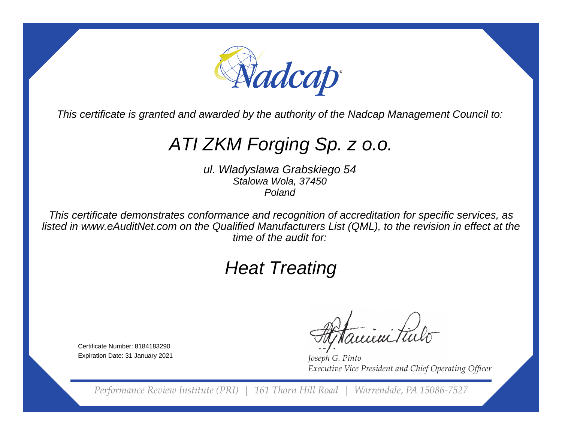

This certificate is granted and awarded by the authority of the Nadcap Management Council to:

# ATI ZKM Forging Sp. z o.o.

ul. Wladyslawa Grabskiego 54Stalowa Wola, 37450Poland

This certificate demonstrates conformance and recognition of accreditation for specific services, as listed in www.eAuditNet.com on the Qualified Manufacturers List (QML), to the revision in effect at thetime of the audit for:

# Heat Treating

Certificate Number: 8184183290Expiration Date: 31 January 2021

eieni tu

*Joseph G. Pinto* **Executive Vice President and Chief Operating Officer** 

*Performance Review Institute (PRI) | 161 Thorn Hill Road | Warrendale, PA 15086-7527*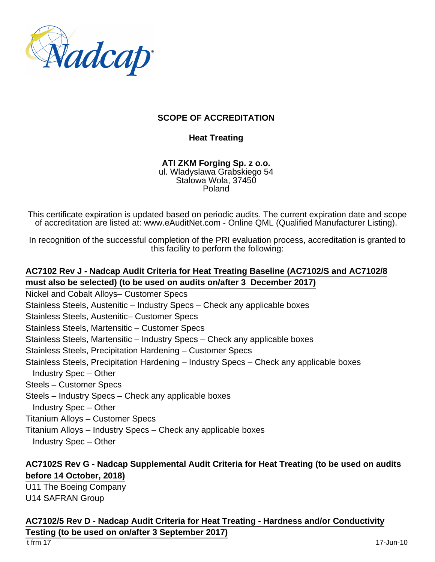

#### **SCOPE OF ACCREDITATION**

#### **Heat Treating**

**ATI ZKM Forging Sp. z o.o.** ul. Wladyslawa Grabskiego 54 Stalowa Wola, 37450 Poland

This certificate expiration is updated based on periodic audits. The current expiration date and scope of accreditation are listed at: www.eAuditNet.com - Online QML (Qualified Manufacturer Listing).

In recognition of the successful completion of the PRI evaluation process, accreditation is granted to this facility to perform the following:

## **AC7102 Rev J - Nadcap Audit Criteria for Heat Treating Baseline (AC7102/S and AC7102/8 must also be selected) (to be used on audits on/after 3 December 2017)**

- Nickel and Cobalt Alloys– Customer Specs
- Stainless Steels, Austenitic Industry Specs Check any applicable boxes
- Stainless Steels, Austenitic– Customer Specs
- Stainless Steels, Martensitic Customer Specs
- Stainless Steels, Martensitic Industry Specs Check any applicable boxes
- Stainless Steels, Precipitation Hardening Customer Specs
- Stainless Steels, Precipitation Hardening Industry Specs Check any applicable boxes Industry Spec – Other
- Steels Customer Specs
- Steels Industry Specs Check any applicable boxes
- Industry Spec Other
- Titanium Alloys Customer Specs
- Titanium Alloys Industry Specs Check any applicable boxes
- Industry Spec Other

#### **AC7102S Rev G - Nadcap Supplemental Audit Criteria for Heat Treating (to be used on audits before 14 October, 2018)**

U11 The Boeing Company U14 SAFRAN Group

# **AC7102/5 Rev D - Nadcap Audit Criteria for Heat Treating - Hardness and/or Conductivity**

## **Testing (to be used on on/after 3 September 2017)**